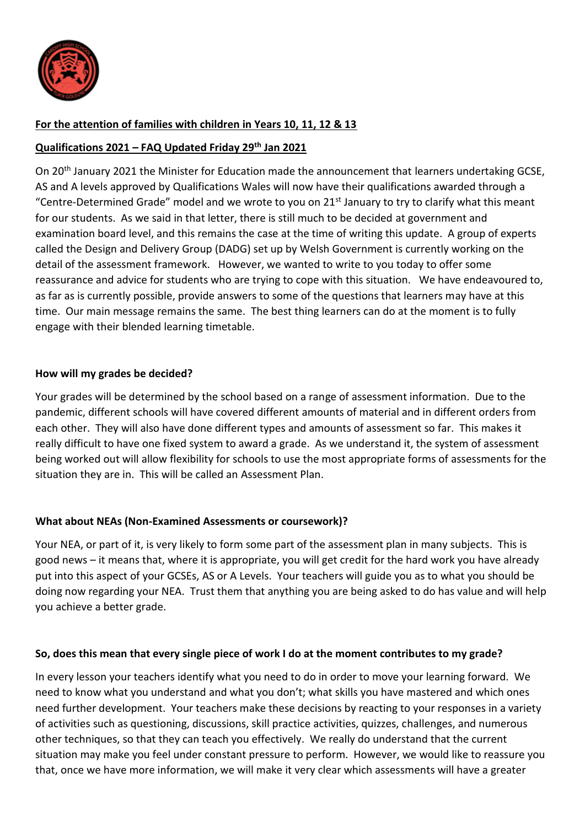

## **For the attention of families with children in Years 10, 11, 12 & 13**

#### **Qualifications 2021 – FAQ Updated Friday 29th Jan 2021**

On 20<sup>th</sup> January 2021 the Minister for Education made the announcement that learners undertaking GCSE, AS and A levels approved by Qualifications Wales will now have their qualifications awarded through a "Centre-Determined Grade" model and we wrote to you on 21<sup>st</sup> January to try to clarify what this meant for our students. As we said in that letter, there is still much to be decided at government and examination board level, and this remains the case at the time of writing this update. A group of experts called the Design and Delivery Group (DADG) set up by Welsh Government is currently working on the detail of the assessment framework. However, we wanted to write to you today to offer some reassurance and advice for students who are trying to cope with this situation. We have endeavoured to, as far as is currently possible, provide answers to some of the questions that learners may have at this time. Our main message remains the same. The best thing learners can do at the moment is to fully engage with their blended learning timetable.

#### **How will my grades be decided?**

Your grades will be determined by the school based on a range of assessment information. Due to the pandemic, different schools will have covered different amounts of material and in different orders from each other. They will also have done different types and amounts of assessment so far. This makes it really difficult to have one fixed system to award a grade. As we understand it, the system of assessment being worked out will allow flexibility for schools to use the most appropriate forms of assessments for the situation they are in. This will be called an Assessment Plan.

#### **What about NEAs (Non-Examined Assessments or coursework)?**

Your NEA, or part of it, is very likely to form some part of the assessment plan in many subjects. This is good news – it means that, where it is appropriate, you will get credit for the hard work you have already put into this aspect of your GCSEs, AS or A Levels. Your teachers will guide you as to what you should be doing now regarding your NEA. Trust them that anything you are being asked to do has value and will help you achieve a better grade.

#### **So, does this mean that every single piece of work I do at the moment contributes to my grade?**

In every lesson your teachers identify what you need to do in order to move your learning forward. We need to know what you understand and what you don't; what skills you have mastered and which ones need further development. Your teachers make these decisions by reacting to your responses in a variety of activities such as questioning, discussions, skill practice activities, quizzes, challenges, and numerous other techniques, so that they can teach you effectively. We really do understand that the current situation may make you feel under constant pressure to perform. However, we would like to reassure you that, once we have more information, we will make it very clear which assessments will have a greater